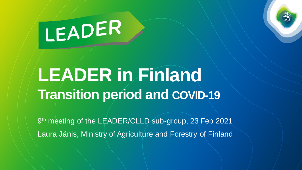# LEADER

### **LEADER in Finland Transition period and COVID-19**

9<sup>th</sup> meeting of the LEADER/CLLD sub-group, 23 Feb 2021 Laura Jänis, Ministry of Agriculture and Forestry of Finland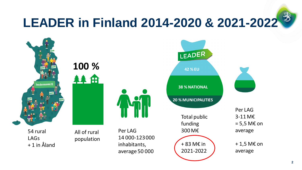## **LEADER in Finland 2014-2020 & 2021-2022**

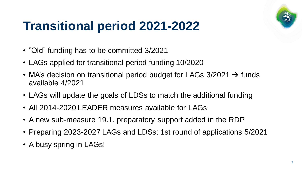

#### **Transitional period 2021-2022**

- "Old" funding has to be committed 3/2021
- LAGs applied for transitional period funding 10/2020
- MA's decision on transitional period budget for LAGs  $3/2021 \rightarrow$  funds available 4/2021
- LAGs will update the goals of LDSs to match the additional funding
- All 2014-2020 LEADER measures available for LAGs
- A new sub-measure 19.1. preparatory support added in the RDP
- Preparing 2023-2027 LAGs and LDSs: 1st round of applications 5/2021
- A busy spring in LAGs!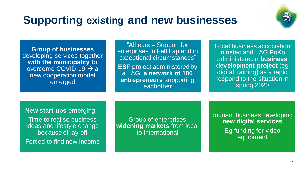#### **Supporting existing and new businesses**



**Group of businesses** developing services together **with the municipality** to overcome COVID-19 → a new cooperation model emerged

"All ears – Support for enterprises in Fell Lapland in exceptional circumstances" **ESF** project administered by a LAG: **a network of 100 entrepreneurs** supporting eachother

Local business accociation initiated and LAG PoKo administered a **business development project** (eg digital training) as a rapid respond to the situation in spring 2020

**New start-ups** emerging –

Time to realise business ideas and lifestyle change because of lay-off Forced to find new income

Group of enterprises **widening markets** from local to international

Tourism business developing **new digital services** Eg funding for video equipment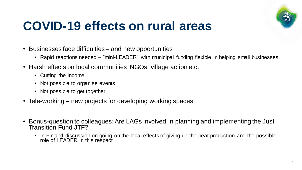

#### **COVID-19 effects on rural areas**

- Businesses face difficulties and new opportunities
	- Rapid reactions needed "mini-LEADER" with municipal funding flexible in helping small businesses
- Harsh effects on local communities, NGOs, village action etc.
	- Cutting the income
	- Not possible to organise events
	- Not possible to get together
- Tele-working new projects for developing working spaces
- Bonus-question to colleagues: Are LAGs involved in planning and implementing the Just Transition Fund JTF?
	- In Finland discussion on-going on the local effects of giving up the peat production and the possible role of LEADER in this respect